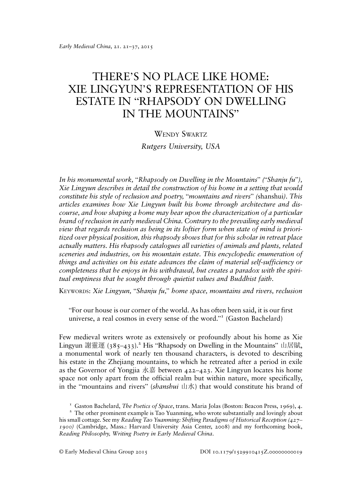## THERE'S NO PLACE LIKE HOME: XIE LINGYUN'S REPRESENTATION OF HIS ESTATE IN "RHAPSODY ON DWELLING IN THE MOUNTAINS"

## WENDY SWARTZ

Rutgers University, USA

In his monumental work, "Rhapsody on Dwelling in the Mountains" ("Shanju fu"), Xie Lingyun describes in detail the construction of his home in a setting that would constitute his style of reclusion and poetry, "mountains and rivers" (shanshui). This articles examines how Xie Lingyun built his home through architecture and discourse, and how shaping a home may bear upon the characterization of a particular brand of reclusion in early medieval China. Contrary to the prevailing early medieval view that regards reclusion as being in its loftier form when state of mind is prioritized over physical position, this rhapsody shows that for this scholar in retreat place actually matters. His rhapsody catalogues all varieties of animals and plants, related sceneries and industries, on his mountain estate. This encyclopedic enumeration of things and activities on his estate advances the claim of material self-sufficiency or completeness that he enjoys in his withdrawal, but creates a paradox with the spiritual emptiness that he sought through quietist values and Buddhist faith.

KEYWORDS: Xie Lingyun, "Shanju fu," home space, mountains and rivers, reclusion

"For our house is our corner of the world. As has often been said, it is our first universe, a real cosmos in every sense of the word." <sup>1</sup> (Gaston Bachelard)

Few medieval writers wrote as extensively or profoundly about his home as Xie Lingyun 謝靈運 (385-433).<sup>2</sup> His "Rhapsody on Dwelling in the Mountains" 山居賦, a monumental work of nearly ten thousand characters, is devoted to describing his estate in the Zhejiang mountains, to which he retreated after a period in exile as the Governor of Yongjia 永嘉 between  $422-423$ . Xie Lingyun locates his home space not only apart from the official realm but within nature, more specifically, in the "mountains and rivers" *(shanshui* 山水) that would constitute his brand of

<sup>&</sup>lt;sup>1</sup> Gaston Bachelard, *The Poetics of Space*, trans. Maria Jolas (Boston: Beacon Press, 1969), 4. <sup>2</sup> The other prominent example is Tao Yuanming, who wrote substantially and lovingly about his small cottage. See my Reading Tao Yuanming: Shifting Paradigms of Historical Reception (427– 1900) (Cambridge, Mass.: Harvard University Asia Center, 2008) and my forthcoming book, Reading Philosophy, Writing Poetry in Early Medieval China.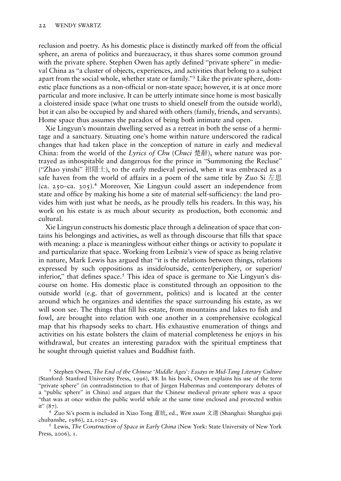reclusion and poetry. As his domestic place is distinctly marked off from the official sphere, an arena of politics and bureaucracy, it thus shares some common ground with the private sphere. Stephen Owen has aptly defined "private sphere" in medieval China as "a cluster of objects, experiences, and activities that belong to a subject apart from the social whole, whether state or family." <sup>3</sup> Like the private sphere, domestic place functions as a non-official or non-state space; however, it is at once more particular and more inclusive. It can be utterly intimate since home is most basically a cloistered inside space (what one trusts to shield oneself from the outside world), but it can also be occupied by and shared with others (family, friends, and servants). Home space thus assumes the paradox of being both intimate and open.

Xie Lingyun's mountain dwelling served as a retreat in both the sense of a hermitage and a sanctuary. Situating one's home within nature underscored the radical changes that had taken place in the conception of nature in early and medieval China: from the world of the *Lyrics of Chu (Chuci* 楚辭), where nature was portrayed as inhospitable and dangerous for the prince in "Summoning the Recluse" ("Zhao yinshi" 招隱士), to the early medieval period, when it was embraced as a safe haven from the world of affairs in a poem of the same title by Zuo Si 左思 (ca. 250–ca. 305).<sup>4</sup> Moreover, Xie Lingyun could assert an independence from state and office by making his home a site of material self-sufficiency: the land provides him with just what he needs, as he proudly tells his readers. In this way, his work on his estate is as much about security as production, both economic and cultural.

Xie Lingyun constructs his domestic place through a delineation of space that contains his belongings and activities, as well as through discourse that fills that space with meaning: a place is meaningless without either things or activity to populate it and particularize that space. Working from Leibniz's view of space as being relative in nature, Mark Lewis has argued that "it is the relations between things, relations expressed by such oppositions as inside/outside, center/periphery, or superior/ inferior," that defines space.<sup>5</sup> This idea of space is germane to Xie Lingyun's discourse on home. His domestic place is constituted through an opposition to the outside world (e.g. that of government, politics) and is located at the center around which he organizes and identifies the space surrounding his estate, as we will soon see. The things that fill his estate, from mountains and lakes to fish and fowl, are brought into relation with one another in a comprehensive ecological map that his rhapsody seeks to chart. His exhaustive enumeration of things and activities on his estate bolsters the claim of material completeness he enjoys in his withdrawal, but creates an interesting paradox with the spiritual emptiness that he sought through quietist values and Buddhist faith.

<sup>3</sup> Stephen Owen, The End of the Chinese 'Middle Ages': Essays in Mid-Tang Literary Culture (Stanford: Stanford University Press, 1996), 88. In his book, Owen explains his use of the term "private sphere" (in contradistinction to that of Jürgen Habermas and contemporary debates of a "public sphere" in China) and argues that the Chinese medieval private sphere was a space "that was at once within the public world while at the same time enclosed and protected within it"  $(87)$ .

<sup>4</sup> Zuo Si's poem is included in Xiao Tong 蕭統, ed., Wen xuan 文選 (Shanghai: Shanghai guji chubanshe, 1986), 22.1027–29.<br><sup>5</sup> Lewis, *The Construction of Space in Early China* (New York: State University of New York

Press, 2006), 1.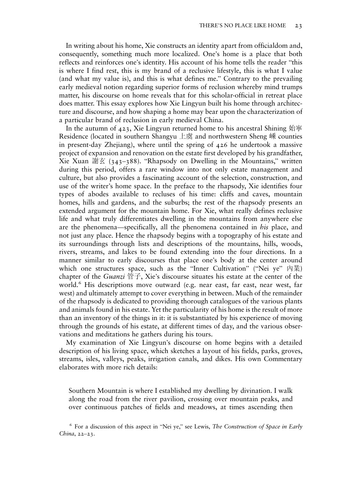In writing about his home, Xie constructs an identity apart from officialdom and, consequently, something much more localized. One's home is a place that both reflects and reinforces one's identity. His account of his home tells the reader "this is where I find rest, this is my brand of a reclusive lifestyle, this is what I value (and what my value is), and this is what defines me." Contrary to the prevailing early medieval notion regarding superior forms of reclusion whereby mind trumps matter, his discourse on home reveals that for this scholar-official in retreat place does matter. This essay explores how Xie Lingyun built his home through architecture and discourse, and how shaping a home may bear upon the characterization of a particular brand of reclusion in early medieval China.

In the autumn of 423, Xie Lingyun returned home to his ancestral Shining 始寧 Residence (located in southern Shangyu 上虞 and northwestern Sheng 嵊 counties in present-day Zhejiang), where until the spring of 426 he undertook a massive project of expansion and renovation on the estate first developed by his grandfather, Xie Xuan 謝玄 (343–388). "Rhapsody on Dwelling in the Mountains," written during this period, offers a rare window into not only estate management and culture, but also provides a fascinating account of the selection, construction, and use of the writer's home space. In the preface to the rhapsody, Xie identifies four types of abodes available to recluses of his time: cliffs and caves, mountain homes, hills and gardens, and the suburbs; the rest of the rhapsody presents an extended argument for the mountain home. For Xie, what really defines reclusive life and what truly differentiates dwelling in the mountains from anywhere else are the phenomena—specifically, all the phenomena contained in his place, and not just any place. Hence the rhapsody begins with a topography of his estate and its surroundings through lists and descriptions of the mountains, hills, woods, rivers, streams, and lakes to be found extending into the four directions. In a manner similar to early discourses that place one's body at the center around which one structures space, such as the "Inner Cultivation" ("Nei ye" 內業) chapter of the *Guanzi* 管子, Xie's discourse situates his estate at the center of the world.<sup>6</sup> His descriptions move outward (e.g. near east, far east, near west, far west) and ultimately attempt to cover everything in between. Much of the remainder of the rhapsody is dedicated to providing thorough catalogues of the various plants and animals found in his estate. Yet the particularity of his home is the result of more than an inventory of the things in it: it is substantiated by his experience of moving through the grounds of his estate, at different times of day, and the various observations and meditations he gathers during his tours.

My examination of Xie Lingyun's discourse on home begins with a detailed description of his living space, which sketches a layout of his fields, parks, groves, streams, isles, valleys, peaks, irrigation canals, and dikes. His own Commentary elaborates with more rich details:

Southern Mountain is where I established my dwelling by divination. I walk along the road from the river pavilion, crossing over mountain peaks, and over continuous patches of fields and meadows, at times ascending then

<sup>6</sup> For a discussion of this aspect in "Nei ye," see Lewis, The Construction of Space in Early China, 22–23.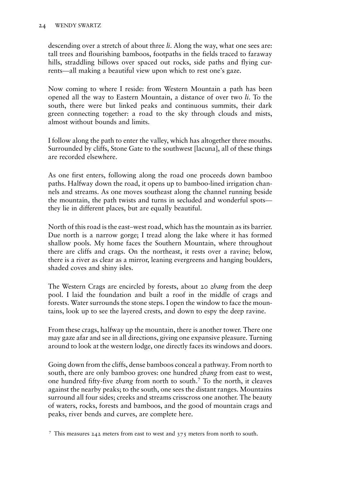descending over a stretch of about three *li*. Along the way, what one sees are: tall trees and flourishing bamboos, footpaths in the fields traced to faraway hills, straddling billows over spaced out rocks, side paths and flying currents—all making a beautiful view upon which to rest one's gaze.

Now coming to where I reside: from Western Mountain a path has been opened all the way to Eastern Mountain, a distance of over two li. To the south, there were but linked peaks and continuous summits, their dark green connecting together: a road to the sky through clouds and mists, almost without bounds and limits.

I follow along the path to enter the valley, which has altogether three mouths. Surrounded by cliffs, Stone Gate to the southwest [lacuna], all of these things are recorded elsewhere.

As one first enters, following along the road one proceeds down bamboo paths. Halfway down the road, it opens up to bamboo-lined irrigation channels and streams. As one moves southeast along the channel running beside the mountain, the path twists and turns in secluded and wonderful spots they lie in different places, but are equally beautiful.

North of this road is the east–west road, which has the mountain as its barrier. Due north is a narrow gorge; I tread along the lake where it has formed shallow pools. My home faces the Southern Mountain, where throughout there are cliffs and crags. On the northeast, it rests over a ravine; below, there is a river as clear as a mirror, leaning evergreens and hanging boulders, shaded coves and shiny isles.

The Western Crags are encircled by forests, about 20 *zhang* from the deep pool. I laid the foundation and built a roof in the middle of crags and forests. Water surrounds the stone steps. I open the window to face the mountains, look up to see the layered crests, and down to espy the deep ravine.

From these crags, halfway up the mountain, there is another tower. There one may gaze afar and see in all directions, giving one expansive pleasure. Turning around to look at the western lodge, one directly faces its windows and doors.

Going down from the cliffs, dense bamboos conceal a pathway. From north to south, there are only bamboo groves: one hundred *zhang* from east to west, one hundred fifty-five zhang from north to south.<sup>7</sup> To the north, it cleaves against the nearby peaks; to the south, one sees the distant ranges. Mountains surround all four sides; creeks and streams crisscross one another. The beauty of waters, rocks, forests and bamboos, and the good of mountain crags and peaks, river bends and curves, are complete here.

<sup>7</sup> This measures 242 meters from east to west and  $375$  meters from north to south.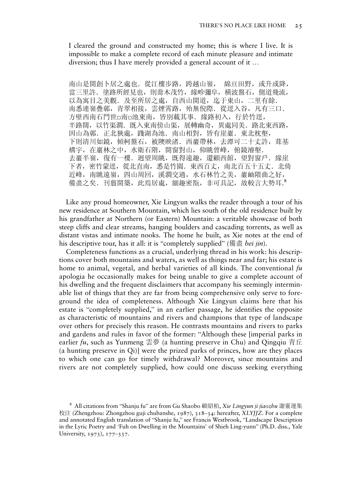I cleared the ground and constructed my home; this is where I live. It is impossible to make a complete record of each minute pleasure and intimate diversion; thus I have merely provided a general account of it …

南山是開創卜居之處也. 從江樓步路, 跨越山嶺, 綿亘田野, 或升或降, 當三里許. 塗路所經見也,則喬木茂竹, 緣畛彌阜, 橫波盤石, 側道飛流, 以為寓目之美觀. 及至所居之處, 自西山開道, 迄于東山, 二里有餘. 南悉連嶺疊鄣,青翠相接,雲煙霄路,殆無倪際.從逕入谷,凡有三口. 方壁西南石門世□南□池東南,皆別載其事. 緣路初入, 行於竹逕, 半路闊,以竹渠澗. 既入東南傍山渠, 展轉幽奇, 異處同美. 路北東西路, 因山為鄣. 正北狹處, 踐湖為池. 南山相對, 皆有崖巖. 東北枕壑, 下則清川如鏡,傾柯盤石,被隩映渚.西巖帶林,去潭可二十丈許,葺基 構宇,在巖林之中,水衛石階,開窗對山,仰眺曾峰,俯鏡濬壑. 夫巖半嶺, 復有一樓. 迥望周眺, 既得遠趣, 還顧西館, 望對窗戶. 緣崖 下者,密竹蒙逕,從北直南,悉是竹園. 東西百丈, 南北百五十五丈. 北倚 近峰, 南眺遠嶺, 四山周回, 溪澗交過, 水石林竹之美, 巖岫隈曲之好, 備盡之矣. 刊翦開築, 此焉居處, 細趣密翫, 非可具記, 故較言大勢耳.8

Like any proud homeowner, Xie Lingyun walks the reader through a tour of his new residence at Southern Mountain, which lies south of the old residence built by his grandfather at Northern (or Eastern) Mountain: a veritable showcase of both steep cliffs and clear streams, hanging boulders and cascading torrents, as well as distant vistas and intimate nooks. The home he built, as Xie notes at the end of his descriptive tour, has it all: it is "completely supplied" (備盡 bei jin).

Completeness functions as a crucial, underlying thread in his work: his descriptions cover both mountains and waters, as well as things near and far; his estate is home to animal, vegetal, and herbal varieties of all kinds. The conventional  $fu$ apologia he occasionally makes for being unable to give a complete account of his dwelling and the frequent disclaimers that accompany his seemingly interminable list of things that they are far from being comprehensive only serve to foreground the idea of completeness. Although Xie Lingyun claims here that his estate is "completely supplied," in an earlier passage, he identifies the opposite as characteristic of mountains and rivers and champions that type of landscape over others for precisely this reason. He contrasts mountains and rivers to parks and gardens and rules in favor of the former: "Although these [imperial parks in earlier fu, such as Yunmeng 雲夢 (a hunting preserve in Chu) and Oingqiu 青丘 (a hunting preserve in Qi)] were the prized parks of princes, how are they places to which one can go for timely withdrawal? Moreover, since mountains and rivers are not completely supplied, how could one discuss seeking everything

<sup>&</sup>lt;sup>8</sup> All citations from "Shanju fu" are from Gu Shaobo 顧紹柏, Xie Lingyun ji jiaozhu 謝靈運集 校注 (Zhengzhou: Zhongzhou guji chubanshe, 1987), 318–34: hereafter, XLYJJZ. For a complete and annotated English translation of "Shanju fu," see Francis Westbrook, "Landscape Description in the Lyric Poetry and 'Fuh on Dwelling in the Mountains' of Shieh Ling-yunn" (Ph.D. diss., Yale University, 1973), 177–337.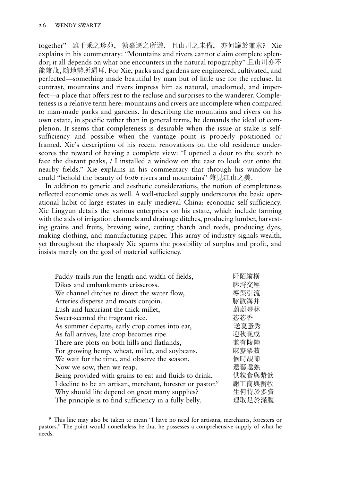together" 雖千乘之珍苑, 孰嘉遯之所遊. 且山川之未備, 亦何議於兼求? Xie explains in his commentary: "Mountains and rivers cannot claim complete splendor; it all depends on what one encounters in the natural topography" 且山川亦不 能兼茂, 隨地勢所遇耳. For Xie, parks and gardens are engineered, cultivated, and perfected—something made beautiful by man but of little use for the recluse. In contrast, mountains and rivers impress him as natural, unadorned, and imperfect—a place that offers rest to the recluse and surprises to the wanderer. Completeness is a relative term here: mountains and rivers are incomplete when compared to man-made parks and gardens. In describing the mountains and rivers on his own estate, in specific rather than in general terms, he demands the ideal of completion. It seems that completeness is desirable when the issue at stake is selfsufficiency and possible when the vantage point is properly positioned or framed. Xie's description of his recent renovations on the old residence underscores the reward of having a complete view: "I opened a door to the south to face the distant peaks, / I installed a window on the east to look out onto the nearby fields." Xie explains in his commentary that through his window he could "behold the beauty of both rivers and mountains" 兼見江山之美.

In addition to generic and aesthetic considerations, the notion of completeness reflected economic ones as well. A well-stocked supply underscores the basic operational habit of large estates in early medieval China: economic self-sufficiency. Xie Lingyun details the various enterprises on his estate, which include farming with the aids of irrigation channels and drainage ditches, producing lumber, harvesting grains and fruits, brewing wine, cutting thatch and reeds, producing dyes, making clothing, and manufacturing paper. This array of industry signals wealth, yet throughout the rhapsody Xie spurns the possibility of surplus and profit, and insists merely on the goal of material sufficiency.

| 阡陌縱橫   |
|--------|
| 塍埒交經   |
| 導渠引流   |
| 脉散溝并   |
| 蔚蔚豐秫   |
| 苾苾香    |
| 送夏蚤秀   |
| 迎秋晚成   |
| 兼有陵陸   |
| 麻麥粟菽   |
| 候時覘節   |
| 遞藝遞熟   |
| 供粒食與漿飲 |
| 謝工商與衡牧 |
| 生何待於多資 |
| 理取足於滿腹 |
|        |

<sup>9</sup> This line may also be taken to mean "I have no need for artisans, merchants, foresters or pastors." The point would nonetheless be that he possesses a comprehensive supply of what he needs.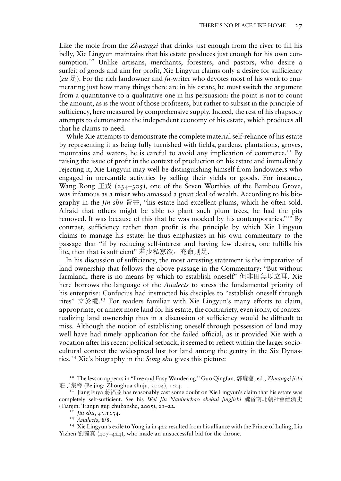Like the mole from the *Zhuangzi* that drinks just enough from the river to fill his belly, Xie Lingyun maintains that his estate produces just enough for his own consumption.<sup>10</sup> Unlike artisans, merchants, foresters, and pastors, who desire a surfeit of goods and aim for profit, Xie Lingyun claims only a desire for sufficiency (zu  $\mathbb{E}$ ). For the rich landowner and fu-writer who devotes most of his work to enumerating just how many things there are in his estate, he must switch the argument from a quantitative to a qualitative one in his persuasion: the point is not to count the amount, as is the wont of those profiteers, but rather to subsist in the principle of sufficiency, here measured by comprehensive supply. Indeed, the rest of his rhapsody attempts to demonstrate the independent economy of his estate, which produces all that he claims to need.

While Xie attempts to demonstrate the complete material self-reliance of his estate by representing it as being fully furnished with fields, gardens, plantations, groves, mountains and waters, he is careful to avoid any implication of commerce.<sup>11</sup> By raising the issue of profit in the context of production on his estate and immediately rejecting it, Xie Lingyun may well be distinguishing himself from landowners who engaged in mercantile activities by selling their yields or goods. For instance, Wang Rong 王戎 (234–305), one of the Seven Worthies of the Bamboo Grove, was infamous as a miser who amassed a great deal of wealth. According to his biography in the *Jin shu* 晉書, "his estate had excellent plums, which he often sold. Afraid that others might be able to plant such plum trees, he had the pits removed. It was because of this that he was mocked by his contemporaries."<sup>12</sup> By contrast, sufficiency rather than profit is the principle by which Xie Lingyun claims to manage his estate: he thus emphasizes in his own commentary to the passage that "if by reducing self-interest and having few desires, one fulfills his life, then that is sufficient" 若少私寡欲,充命則足.

In his discussion of sufficiency, the most arresting statement is the imperative of land ownership that follows the above passage in the Commentary: "But without farmland, there is no means by which to establish oneself" 但非田無以立耳. Xie here borrows the language of the *Analects* to stress the fundamental priority of his enterprise: Confucius had instructed his disciples to "establish oneself through rites" 立於禮. <sup>13</sup> For readers familiar with Xie Lingyun's many efforts to claim, appropriate, or annex more land for his estate, the contrariety, even irony, of contextualizing land ownership thus in a discussion of sufficiency would be difficult to miss. Although the notion of establishing oneself through possession of land may well have had timely application for the failed official, as it provided Xie with a vocation after his recent political setback, it seemed to reflect within the larger sociocultural context the widespread lust for land among the gentry in the Six Dynasties.<sup>14</sup> Xie's biography in the Song shu gives this picture:

<sup>&</sup>lt;sup>10</sup> The lesson appears in "Free and Easy Wandering." Guo Qingfan, 郭慶藩, ed., Zhuangzi jishi<br>莊子集釋 (Beijing: Zhonghua shuju, 2004), 1:24.

 $I<sup>T</sup>$  Jiang Fuya 蔣福亞 has reasonably cast some doubt on Xie Lingyun's claim that his estate was completely self-sufficient. See his Wei Jin Nanbeichao shehui jingjishi 魏晉南北朝社會經濟史 (Tianjin: Tianjin guji chubanshe, 2005), 21–22.<br><sup>12</sup> *Jin shu*, 43.1234.<br><sup>13</sup> Analects, 8/8. <sup>14</sup> Xie Lingyun's exile to Yongjia in 422 resulted from his alliance with the Prince of Luling, Liu

Yizhen 劉義真 (407–424), who made an unsuccessful bid for the throne.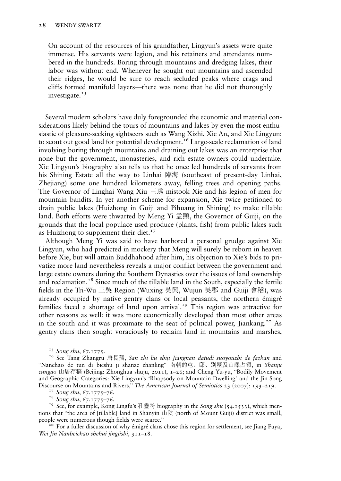On account of the resources of his grandfather, Lingyun's assets were quite immense. His servants were legion, and his retainers and attendants numbered in the hundreds. Boring through mountains and dredging lakes, their labor was without end. Whenever he sought out mountains and ascended their ridges, he would be sure to reach secluded peaks where crags and cliffs formed manifold layers—there was none that he did not thoroughly investigate. $15$ 

Several modern scholars have duly foregrounded the economic and material considerations likely behind the tours of mountains and lakes by even the most enthusiastic of pleasure-seeking sightseers such as Wang Xizhi, Xie An, and Xie Lingyun: to scout out good land for potential development.<sup>16</sup> Large-scale reclamation of land involving boring through mountains and draining out lakes was an enterprise that none but the government, monasteries, and rich estate owners could undertake. Xie Lingyun's biography also tells us that he once led hundreds of servants from his Shining Estate all the way to Linhai 臨海 (southeast of present-day Linhai, Zhejiang) some one hundred kilometers away, felling trees and opening paths. The Governor of Linghai Wang Xiu 王琇 mistook Xie and his legion of men for mountain bandits. In yet another scheme for expansion, Xie twice petitioned to drain public lakes (Huizhong in Guiji and Pihuang in Shining) to make tillable land. Both efforts were thwarted by Meng Yi 孟顗, the Governor of Guiji, on the grounds that the local populace used produce (plants, fish) from public lakes such as Huizhong to supplement their diet.<sup>17</sup>

Although Meng Yi was said to have harbored a personal grudge against Xie Lingyun, who had predicted in mockery that Meng will surely be reborn in heaven before Xie, but will attain Buddhahood after him, his objection to Xie's bids to privatize more land nevertheless reveals a major conflict between the government and large estate owners during the Southern Dynasties over the issues of land ownership and reclamation.<sup>18</sup> Since much of the tillable land in the South, especially the fertile fields in the Tri-Wu 三吳 Region (Wuxing 吳興, Wujun 吳郡 and Guiji 會稽), was already occupied by native gentry clans or local peasants, the northern émigré families faced a shortage of land upon arrival.<sup>19</sup> This region was attractive for other reasons as well: it was more economically developed than most other areas in the south and it was proximate to the seat of political power, Jiankang.<sup>20</sup> As gentry clans then sought voraciously to reclaim land in mountains and marshes,

<sup>15</sup> So*ng shu, 67.1775.*<br><sup>16</sup> See Tang Zhangru 唐長孺, *San zhi liu shiji Jiangnan datudi suoyouzhi de fazhan* and "Nanchao de tun di bieshu ji shanze zhanling" 南朝的屯、邸、別墅及山澤占領, in Shanju cungao 山居存稿 (Beijing: Zhonghua shuju, 2011), 1–26; and Cheng Yu-yu, "Bodily Movement" and Geographic Categories: Xie Lingyun's 'Rhapsody on Mountain Dwelling' and the Jin-Song<br>Discourse on Mountains and Rivers," The American Journal of Semiotics 23 (2007): 193–219.

<sup>17</sup> So*ng shu*, 67.1775–76.<br><sup>18</sup> So*ng shu*, 67.1775–76.<br><sup>19</sup> See, for example, Kong Lingfu's 孔靈符 biography in the So*ng shu* (54.1533), which mentions that "the area of [tillable] land in Shanyin 山陰 (north of Mount Guiji) district was small, people were numerous though fields were scarce." <sup>20</sup> For a fuller discussion of why émigré clans chose this region for settlement, see Jiang Fuya,

Wei Jin Nanbeichao shehui jingjishi, 311–18.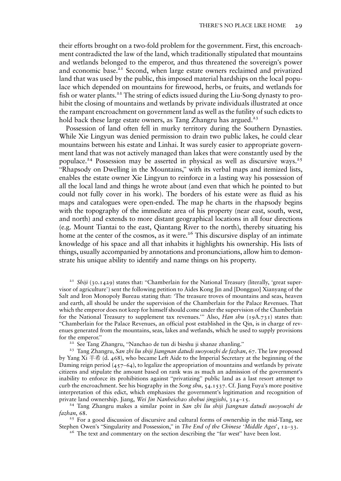their efforts brought on a two-fold problem for the government. First, this encroachment contradicted the law of the land, which traditionally stipulated that mountains and wetlands belonged to the emperor, and thus threatened the sovereign's power and economic base.<sup>21</sup> Second, when large estate owners reclaimed and privatized land that was used by the public, this imposed material hardships on the local populace which depended on mountains for firewood, herbs, or fruits, and wetlands for fish or water plants.<sup>22</sup> The string of edicts issued during the Liu-Song dynasty to prohibit the closing of mountains and wetlands by private individuals illustrated at once the rampant encroachment on government land as well as the futility of such edicts to hold back these large estate owners, as Tang Zhangru has argued.<sup>23</sup>

Possession of land often fell in murky territory during the Southern Dynasties. While Xie Lingyun was denied permission to drain two public lakes, he could clear mountains between his estate and Linhai. It was surely easier to appropriate government land that was not actively managed than lakes that were constantly used by the populace.<sup>24</sup> Possession may be asserted in physical as well as discursive ways.<sup>25</sup> "Rhapsody on Dwelling in the Mountains," with its verbal maps and itemized lists, enables the estate owner Xie Lingyun to reinforce in a lasting way his possession of all the local land and things he wrote about (and even that which he pointed to but could not fully cover in his work). The borders of his estate were as fluid as his maps and catalogues were open-ended. The map he charts in the rhapsody begins with the topography of the immediate area of his property (near east, south, west, and north) and extends to more distant geographical locations in all four directions (e.g. Mount Tiantai to the east, Qiantang River to the north), thereby situating his home at the center of the cosmos, as it were.<sup>26</sup> This discursive display of an intimate knowledge of his space and all that inhabits it highlights his ownership. His lists of things, usually accompanied by annotations and pronunciations, allow him to demonstrate his unique ability to identify and name things on his property.

<sup>21</sup> Shiji (30.1429) states that: "Chamberlain for the National Treasury (literally, 'great supervisor of agriculture') sent the following petition to Aides Kong Jin and [Dongguo] Xianyang of the Salt and Iron Monopoly Bureau stating that: 'The treasure troves of mountains and seas, heaven and earth, all should be under the supervision of the Chamberlain for the Palace Revenues. That which the emperor does not keep for himself should come under the supervision of the Chamberlain for the National Treasury to supplement tax revenues." Also, *Han shu* (19A.731) states that: "Chamberlain for the Palace Revenues, an official post established in the Qin, is in charge of revenues generated from the mountains, seas, lakes and wetlands, which he used to supply provisions for the emperor."<br><sup>22</sup> See Tang Zhangru, "Nanchao de tun di bieshu ji shanze zhanling."<br><sup>23</sup> Tang Zhangru, *San zhi liu shiji Jiangnan datudi suoyouzhi de fazhan*, 67. The law proposed

by Yang Xi 羊希 (d. 468), who became Left Aide to the Imperial Secretary at the beginning of the Daming reign period  $(457-64)$ , to legalize the appropriation of mountains and wetlands by private citizens and stipulate the amount based on rank was as much an admission of the government's inability to enforce its prohibitions against "privatizing" public land as a last resort attempt to curb the encroachment. See his biography in the *Song shu*,  $54.1537$ . Cf. Jiang Fuya's more positive interpretation of this edict, which emphasizes the government's legitimation and recognition of

private land ownership. Jiang, Wei Jin Nanbeichao shehui jingjishi, 314–15.<br><sup>24</sup> Tang Zhangru makes a similar point in San zhi liu shiji Jiangnan datudi suoyouzhi de<br>fazhan, 68.

<sup>25</sup> For a good discussion of discursive and cultural forms of ownership in the mid-Tang, see Stephen Owen's "Singularity and Possession," in *The End of the Chinese 'Middle Ages'*,  $12-33$ .<br><sup>26</sup> The text and commentary on the section describing the "far west" have been lost.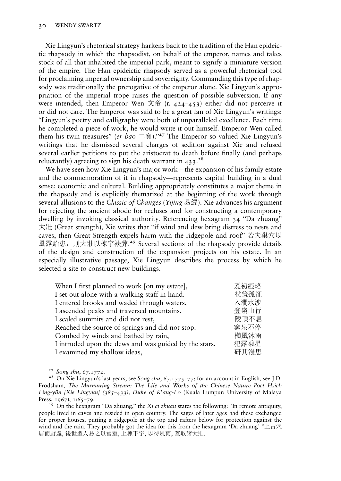Xie Lingyun's rhetorical strategy harkens back to the tradition of the Han epideictic rhapsody in which the rhapsodist, on behalf of the emperor, names and takes stock of all that inhabited the imperial park, meant to signify a miniature version of the empire. The Han epideictic rhapsody served as a powerful rhetorical tool for proclaiming imperial ownership and sovereignty. Commanding this type of rhapsody was traditionally the prerogative of the emperor alone. Xie Lingyun's appropriation of the imperial trope raises the question of possible subversion. If any were intended, then Emperor Wen  $\overrightarrow{\chi}$  of (r. 424–453) either did not perceive it or did not care. The Emperor was said to be a great fan of Xie Lingyun's writings: "Lingyun's poetry and calligraphy were both of unparalleled excellence. Each time he completed a piece of work, he would write it out himself. Emperor Wen called them his twin treasures" (er bao 二寶)."<sup>27</sup> The Emperor so valued Xie Lingyun's writings that he dismissed several charges of sedition against Xie and refused several earlier petitions to put the aristocrat to death before finally (and perhaps reluctantly) agreeing to sign his death warrant in  $433.^{28}$ 

We have seen how Xie Lingyun's major work—the expansion of his family estate and the commemoration of it in rhapsody—represents capital building in a dual sense: economic and cultural. Building appropriately constitutes a major theme in the rhapsody and is explicitly thematized at the beginning of the work through several allusions to the Classic of Changes (Yijing 易經). Xie advances his argument for rejecting the ancient abode for recluses and for constructing a contemporary dwelling by invoking classical authority. Referencing hexagram 34 "Da zhuang" 大壯 (Great strength), Xie writes that "if wind and dew bring distress to nests and caves, then Great Strength expels harm with the ridgepole and roof" 若夫巢穴以 風露貽患, 則大壯以棟字袪弊.<sup>29</sup> Several sections of the rhapsody provide details of the design and construction of the expansion projects on his estate. In an especially illustrative passage, Xie Lingyun describes the process by which he selected a site to construct new buildings.

| When I first planned to work [on my estate],          | 爰初經略 |
|-------------------------------------------------------|------|
| I set out alone with a walking staff in hand.         | 杖策孤征 |
| I entered brooks and waded through waters,            | 入澗水涉 |
| I ascended peaks and traversed mountains.             | 登嶺山行 |
| I scaled summits and did not rest,                    | 陵頂不息 |
| Reached the source of springs and did not stop.       | 窮泉不停 |
| Combed by winds and bathed by rain,                   | 櫛風沐雨 |
| I intruded upon the dews and was guided by the stars. | 犯露乘星 |
| I examined my shallow ideas,                          | 研其淺思 |

<sup>27</sup> Song shu, 67.1772.<br><sup>28</sup> On Xie Lingyun's last years, see Song shu, 67.1775–77; for an account in English, see J.D. Frodsham, The Murmuring Stream: The Life and Works of the Chinese Nature Poet Hsieh Ling-yün [Xie Lingyun] (385–433), Duke of K'ang-Lo (Kuala Lumpur: University of Malaya Press, 1967), 1:65–79.<br><sup>29</sup> On the hexagram "Da zhuang," the *Xi ci zhuan* states the following: "In remote antiquity,

people lived in caves and resided in open country. The sages of later ages had these exchanged for proper houses, putting a ridgepole at the top and rafters below for protection against the wind and the rain. They probably got the idea for this from the hexagram 'Da zhuang' "上古穴 居而野處, 後世聖人易之以宮室, 上棟下宇, 以待風雨, 蓋取諸大壯.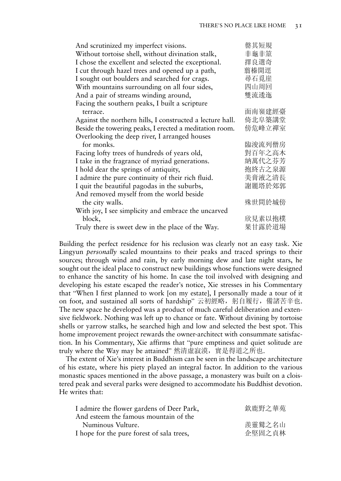| 罄其短規   |
|--------|
| 非龜非筮   |
| 擇良選奇   |
| 翦榛開逕   |
| 尋石覓崖   |
| 四山周回   |
| 雙流逶迤   |
|        |
| 面南嶺建經臺 |
| 倚北阜築講堂 |
| 傍危峰立禪室 |
|        |
| 臨浚流列僧房 |
| 對百年之高木 |
| 納萬代之芬芳 |
| 抱終古之泉源 |
| 美膏液之清長 |
| 謝麗塔於郊郭 |
|        |
| 殊世間於城傍 |
|        |
| 欣見素以抱樸 |
| 果甘露於道場 |
|        |

Building the perfect residence for his reclusion was clearly not an easy task. Xie Lingyun personally scaled mountains to their peaks and traced springs to their sources; through wind and rain, by early morning dew and late night stars, he sought out the ideal place to construct new buildings whose functions were designed to enhance the sanctity of his home. In case the toil involved with designing and developing his estate escaped the reader's notice, Xie stresses in his Commentary that "When I first planned to work [on my estate], I personally made a tour of it on foot, and sustained all sorts of hardship" 云初經略, 躬自履行, 備諸苦辛也. The new space he developed was a product of much careful deliberation and extensive fieldwork. Nothing was left up to chance or fate. Without divining by tortoise shells or yarrow stalks, he searched high and low and selected the best spot. This home improvement project rewards the owner-architect with consummate satisfaction. In his Commentary, Xie affirms that "pure emptiness and quiet solitude are truly where the Way may be attained" 然清虛寂漠,實是得道之所也.

The extent of Xie's interest in Buddhism can be seen in the landscape architecture of his estate, where his piety played an integral factor. In addition to the various monastic spaces mentioned in the above passage, a monastery was built on a cloistered peak and several parks were designed to accommodate his Buddhist devotion. He writes that:

| 欽鹿野之華苑 |
|--------|
|        |
| 羨靈鷲之名山 |
| 企堅固之貞林 |
|        |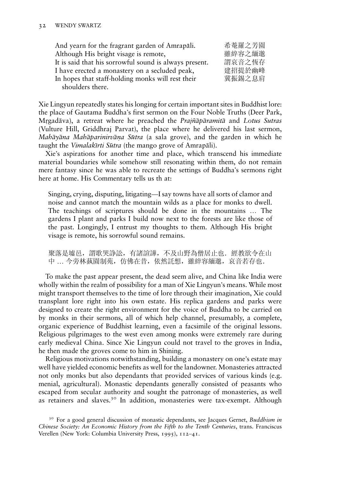| And yearn for the fragrant garden of Amrapāli.         | 希菴羅之芳園 |
|--------------------------------------------------------|--------|
| Although His bright visage is remote,                  | 雖綷容之緬邈 |
| It is said that his sorrowful sound is always present. | 謂哀音之恆存 |
| I have erected a monastery on a secluded peak,         | 建招提於幽峰 |
| In hopes that staff-holding monks will rest their      | 冀振錫之息肩 |
| shoulders there.                                       |        |

Xie Lingyun repeatedly states his longing for certain important sites in Buddhist lore: the place of Gautama Buddha's first sermon on the Four Noble Truths (Deer Park, Mrgadāva), a retreat where he preached the *Prajñāpāramitā* and Lotus Sutras (Vulture Hill, Griddhraj Parvat), the place where he delivered his last sermon, Mahāyāna Mahāparinirvāna Sūtra (a sala grove), and the garden in which he taught the *Vimalakīrti Sūtra* (the mango grove of Amrapāli).

Xie's aspirations for another time and place, which transcend his immediate material boundaries while somehow still resonating within them, do not remain mere fantasy since he was able to recreate the settings of Buddha's sermons right here at home. His Commentary tells us th at:

Singing, crying, disputing, litigating—I say towns have all sorts of clamor and noise and cannot match the mountain wilds as a place for monks to dwell. The teachings of scriptures should be done in the mountains … The gardens I plant and parks I build now next to the forests are like those of the past. Longingly, I entrust my thoughts to them. Although His bright visage is remote, his sorrowful sound remains.

聚落是墟邑,謂歌哭諍訟,有諸諠譁,不及山野為僧居止也. 經教欲令在山 中 … 今旁林蓺園制苑,仿佛在昔,依然託想,雖綷容緬邈,哀音若存也.

To make the past appear present, the dead seem alive, and China like India were wholly within the realm of possibility for a man of Xie Lingyun's means. While most might transport themselves to the time of lore through their imagination, Xie could transplant lore right into his own estate. His replica gardens and parks were designed to create the right environment for the voice of Buddha to be carried on by monks in their sermons, all of which help channel, presumably, a complete, organic experience of Buddhist learning, even a facsimile of the original lessons. Religious pilgrimages to the west even among monks were extremely rare during early medieval China. Since Xie Lingyun could not travel to the groves in India, he then made the groves come to him in Shining.

Religious motivations notwithstanding, building a monastery on one's estate may well have yielded economic benefits as well for the landowner. Monasteries attracted not only monks but also dependants that provided services of various kinds (e.g. menial, agricultural). Monastic dependants generally consisted of peasants who escaped from secular authority and sought the patronage of monasteries, as well as retainers and slaves.<sup>30</sup> In addition, monasteries were tax-exempt. Although

<sup>&</sup>lt;sup>30</sup> For a good general discussion of monastic dependants, see Jacques Gernet, Buddhism in Chinese Society: An Economic History from the Fifth to the Tenth Centuries, trans. Franciscus Verellen (New York: Columbia University Press, 1995), 112–41.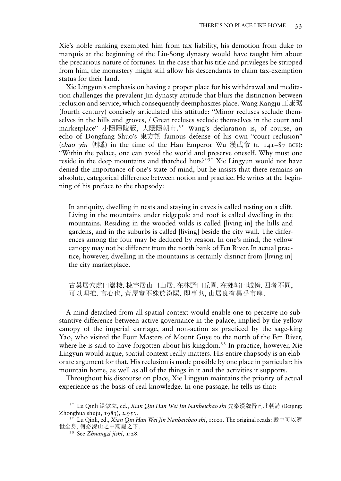Xie's noble ranking exempted him from tax liability, his demotion from duke to marquis at the beginning of the Liu-Song dynasty would have taught him about the precarious nature of fortunes. In the case that his title and privileges be stripped from him, the monastery might still allow his descendants to claim tax-exemption status for their land.

Xie Lingyun's emphasis on having a proper place for his withdrawal and meditation challenges the prevalent Jin dynasty attitude that blurs the distinction between reclusion and service, which consequently deemphasizes place. Wang Kangju 王康琚 (fourth century) concisely articulated this attitude: "Minor recluses seclude themselves in the hills and groves, / Great recluses seclude themselves in the court and marketplace" 小隱隱陵藪, 大隱隱朝市. <sup>31</sup> Wang's declaration is, of course, an echo of Dongfang Shuo's 東方朔 famous defense of his own "court reclusion" (*chao yin* 朝隱) in the time of the Han Emperor Wu 漢武帝 (r.  $141-87$  BCE): "Within the palace, one can avoid the world and preserve oneself. Why must one reside in the deep mountains and thatched huts?"<sup>32</sup> Xie Lingyun would not have denied the importance of one's state of mind, but he insists that there remains an absolute, categorical difference between notion and practice. He writes at the beginning of his preface to the rhapsody:

In antiquity, dwelling in nests and staying in caves is called resting on a cliff. Living in the mountains under ridgepole and roof is called dwelling in the mountains. Residing in the wooded wilds is called [living in] the hills and gardens, and in the suburbs is called [living] beside the city wall. The differences among the four may be deduced by reason. In one's mind, the yellow canopy may not be different from the north bank of Fen River. In actual practice, however, dwelling in the mountains is certainly distinct from [living in] the city marketplace.

古巢居穴處曰巖棲. 棟宇居山曰山居. 在林野曰丘園. 在郊郭曰城傍. 四者不同, 可以理推. 言心也, 黃屋實不殊於汾陽. 即事也, 山居良有異乎市廛.

A mind detached from all spatial context would enable one to perceive no substantive difference between active governance in the palace, implied by the yellow canopy of the imperial carriage, and non-action as practiced by the sage-king Yao, who visited the Four Masters of Mount Guye to the north of the Fen River, where he is said to have forgotten about his kingdom.<sup>33</sup> In practice, however, Xie Lingyun would argue, spatial context really matters. His entire rhapsody is an elaborate argument for that. His reclusion is made possible by one place in particular: his mountain home, as well as all of the things in it and the activities it supports.

Throughout his discourse on place, Xie Lingyun maintains the priority of actual experience as the basis of real knowledge. In one passage, he tells us that:

<sup>&</sup>lt;sup>31</sup> Lu Qinli 逯欽立, ed., Xian Qin Han Wei Jin Nanbeichao shi 先秦漢魏晉南北朝詩 (Beijing: Zhonghua shuju, 1983), 2:953.<br><sup>32</sup> Lu Qinli, ed., *Xian Qin Han Wei Jin Nanbeichao shi*, 1:101. The original reads: 殿中可以避

世全身, 何必深山之中蒿廬之下.<br>  $33$  See Zhuangzi jishi, 1:28.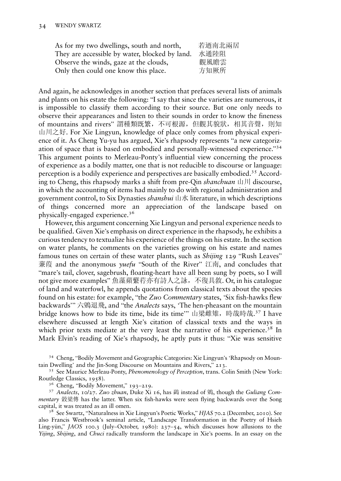| As for my two dwellings, south and north,      | 若迺南北兩居 |
|------------------------------------------------|--------|
| They are accessible by water, blocked by land. | 水通陸阻   |
| Observe the winds, gaze at the clouds,         | 觀風瞻雲   |
| Only then could one know this place.           | 方知厥所   |

And again, he acknowledges in another section that prefaces several lists of animals and plants on his estate the following: "I say that since the varieties are numerous, it is impossible to classify them according to their source. But one only needs to observe their appearances and listen to their sounds in order to know the fineness of mountains and rivers" 謂種類既繁,不可根源,但觀其貌狀,相其音聲,則知 山川之好. For Xie Lingyun, knowledge of place only comes from physical experience of it. As Cheng Yu-yu has argued, Xie's rhapsody represents "a new categorization of space that is based on embodied and personally-witnessed experience." 34 This argument points to Merleau-Ponty's influential view concerning the process of experience as a bodily matter, one that is not reducible to discourse or language: perception is a bodily experience and perspectives are basically embodied.<sup>35</sup> According to Cheng, this rhapsody marks a shift from pre-Qin shanchuan 山川 discourse, in which the accounting of items had mainly to do with regional administration and government control, to Six Dynasties *shanshui* 山水 literature, in which descriptions of things concerned more an appreciation of the landscape based on physically-engaged experience.<sup>36</sup>

However, this argument concerning Xie Lingyun and personal experience needs to be qualified. Given Xie's emphasis on direct experience in the rhapsody, he exhibits a curious tendency to textualize his experience of the things on his estate. In the section on water plants, he comments on the varieties growing on his estate and names famous tunes on certain of these water plants, such as *Shijing* 129 "Rush Leaves" 蒹葭 and the anonymous *yuefu* "South of the River" 江南, and concludes that "mare's tail, clover, sagebrush, floating-heart have all been sung by poets, so I will not give more examples" 魚藻蘋蘩荇亦有詩人之詠,不復具敘. Or, in his catalogue of land and waterfowl, he appends quotations from classical texts about the species found on his estate: for example, "the Zuo Commentary states, 'Six fish-hawks flew backwards" 六鶂退飛, and "the Analects says, 'The hen-pheasant on the mountain bridge knows how to bide its time, bide its time'" 山梁雌雉, 時哉時哉.<sup>37</sup> I have elsewhere discussed at length Xie's citation of classical texts and the ways in which prior texts mediate at the very least the narrative of his experience.<sup>38</sup> In Mark Elvin's reading of Xie's rhapsody, he aptly puts it thus: "Xie was sensitive

<sup>34</sup> Cheng, "Bodily Movement and Geographic Categories: Xie Lingyun's 'Rhapsody on Mountain Dwelling' and the Jin-Song Discourse on Mountains and Rivers," 213.

<sup>35</sup> See Maurice Merleau-Ponty, Phenomenology of Perception, trans. Colin Smith (New York: Routledge Classics, 1958).

<sup>36</sup> Cheng, "Bodily Movement," 193–219.<br><sup>37</sup> Analects, 10/27. Zuo zhuan, Duke Xi 16, has 鷁 instead of 鶂, though the Guliang Commentary 穀梁傳 has the latter. When six fish-hawks were seen flying backwards over the Song capital, it was treated as an ill omen.

<sup>38</sup> See Swartz, "Naturalness in Xie Lingyun's Poetic Works," HJAS 70.2 (December, 2010). See also Francis Westbrook's seminal article, "Landscape Transformation in the Poetry of Hsieh Ling-yün," JAOS 100.3 (July-October, 1980): 237-54, which discusses how allusions to the Yijing, Shijing, and Chuci radically transform the landscape in Xie's poems. In an essay on the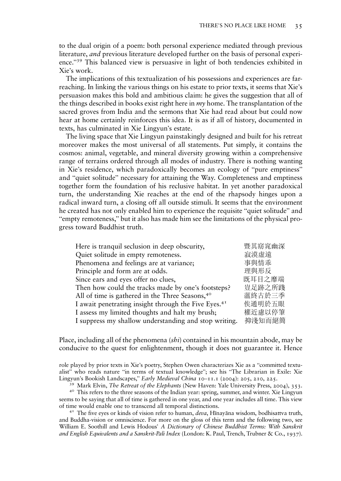to the dual origin of a poem: both personal experience mediated through previous literature, and previous literature developed further on the basis of personal experience." <sup>39</sup> This balanced view is persuasive in light of both tendencies exhibited in Xie's work.

The implications of this textualization of his possessions and experiences are farreaching. In linking the various things on his estate to prior texts, it seems that Xie's persuasion makes this bold and ambitious claim: he gives the suggestion that all of the things described in books exist right here in  $my$  home. The transplantation of the sacred groves from India and the sermons that Xie had read about but could now hear at home certainly reinforces this idea. It is as if all of history, documented in texts, has culminated in Xie Lingyun's estate.

The living space that Xie Lingyun painstakingly designed and built for his retreat moreover makes the most universal of all statements. Put simply, it contains the cosmos: animal, vegetable, and mineral diversity growing within a comprehensive range of terrains ordered through all modes of industry. There is nothing wanting in Xie's residence, which paradoxically becomes an ecology of "pure emptiness" and "quiet solitude" necessary for attaining the Way. Completeness and emptiness together form the foundation of his reclusive habitat. In yet another paradoxical turn, the understanding Xie reaches at the end of the rhapsody hinges upon a radical inward turn, a closing off all outside stimuli. It seems that the environment he created has not only enabled him to experience the requisite "quiet solitude" and "empty remoteness," but it also has made him see the limitations of the physical progress toward Buddhist truth.

| 暨其窈窕幽深 |
|--------|
| 寂漠虚遠   |
| 事與情乖   |
| 理與形反   |
| 既耳目之靡端 |
| 豈足跡之所踐 |
| 薀終古於三季 |
| 俟通明於五眼 |
| 權近慮以停筆 |
| 抑淺知而絕簡 |
|        |

Place, including all of the phenomena  $(shi)$  contained in his mountain abode, may be conducive to the quest for enlightenment, though it does not guarantee it. Hence

role played by prior texts in Xie's poetry, Stephen Owen characterizes Xie as a "committed textualist" who reads nature "in terms of textual knowledge"; see his "The Librarian in Exile: Xie

Lingyun's Bookish Landscapes," *Early Medieval China* 10–11.1 (2004): 205, 210, 225.<br><sup>39</sup> Mark Elvin, *The Retreat of the Elephants* (New Haven: Yale University Press, 2004), 353.<br><sup>40</sup> This refers to the three seasons of t seems to be saying that all of time is gathered in one year, and one year includes all time. This view of time would enable one to transcend all temporal distinctions.<br><sup>41</sup> The five eyes or kinds of vision refer to human, *deva*, Hīnayāna wisdom, bodhisattva truth,

and Buddha-vision or omniscience. For more on the gloss of this term and the following two, see William E. Soothill and Lewis Hodous' A Dictionary of Chinese Buddhist Terms: With Sanskrit and English Equivalents and a Sanskrit-Pali Index (London: K. Paul, Trench, Trubner & Co., 1937).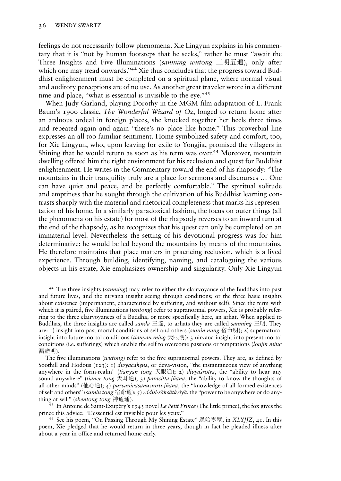feelings do not necessarily follow phenomena. Xie Lingyun explains in his commentary that it is "not by human footsteps that he seeks," rather he must "await the Three Insights and Five Illuminations (sanming wutong 三明五通), only after which one may tread onwards."<sup>42</sup> Xie thus concludes that the progress toward Buddhist enlightenment must be completed on a spiritual plane, where normal visual and auditory perceptions are of no use. As another great traveler wrote in a different time and place, "what is essential is invisible to the eye." 43

When Judy Garland, playing Dorothy in the MGM film adaptation of L. Frank Baum's 1900 classic, The Wonderful Wizard of Oz, longed to return home after an arduous ordeal in foreign places, she knocked together her heels three times and repeated again and again "there's no place like home." This proverbial line expresses an all too familiar sentiment. Home symbolized safety and comfort, too, for Xie Lingyun, who, upon leaving for exile to Yongjia, promised the villagers in Shining that he would return as soon as his term was over.<sup>44</sup> Moreover, mountain dwelling offered him the right environment for his reclusion and quest for Buddhist enlightenment. He writes in the Commentary toward the end of his rhapsody: "The mountains in their tranquility truly are a place for sermons and discourses … One can have quiet and peace, and be perfectly comfortable." The spiritual solitude and emptiness that he sought through the cultivation of his Buddhist learning contrasts sharply with the material and rhetorical completeness that marks his representation of his home. In a similarly paradoxical fashion, the focus on outer things (all the phenomena on his estate) for most of the rhapsody reverses to an inward turn at the end of the rhapsody, as he recognizes that his quest can only be completed on an immaterial level. Nevertheless the setting of his devotional progress was for him determinative: he would be led beyond the mountains by means of the mountains. He therefore maintains that place matters in practicing reclusion, which is a lived experience. Through building, identifying, naming, and cataloguing the various objects in his estate, Xie emphasizes ownership and singularity. Only Xie Lingyun

<sup>42</sup> The three insights (sanming) may refer to either the clairvoyance of the Buddhas into past and future lives, and the nirvana insight seeing through conditions; or the three basic insights about existence (impermanent, characterized by suffering, and without self). Since the term with which it is paired, five illuminations (wutong) refer to supranormal powers, Xie is probably referring to the three clairvoyances of a Buddha, or more specifically here, an arhat. When applied to Buddhas, the three insights are called *sanda* 三達, to arhats they are called *sanming* 三明. They are:  $I$ ) insight into past mortal conditions of self and others (sumin ming 宿命明); 2) supernatural insight into future mortal conditions (*tianyan ming* 天眼明); 3 nirvana insight into present mortal conditions (i.e. sufferings) which enable the self to overcome passions or temptations (loujin ming 漏盡明).

The five illuminations (wutong) refer to the five supranormal powers. They are, as defined by Soothill and Hodous ( $123$ ): 1) divyacaksus, or deva-vision, "the instantaneous view of anything anywhere in the form-realm" (tianyan tong 天眼通); 2) divya's rotra, the "ability to hear any sound anywhere" (tianer tong 天耳通); 3) paracitta-jñāna, the "ability to know the thoughts of all other minds" (他心通); 4)  $\bar{p}arvaniv\bar{a}s\bar{a}nus mrti-j\bar{n}\bar{a}na$ , the "knowledge of all formed existences of self and others" (sumin tong 宿命通); 5) rddhi-sākṣātkriyā, the "power to be anywhere or do anything at will" (*shentong tong* 神通通). <sup>43</sup> In Antoine de Saint-Exupéry's 1943 novel *Le Petit Prince* (The little prince), the fox gives the

prince this advice: "L'essentiel est invisible pour les yeux."<br><sup>44</sup> See his poem, "On Passing Through My Shining Estate" 過始寧墅, in XLYJJZ, 41. In this

poem, Xie pledged that he would return in three years, though in fact he pleaded illness after about a year in office and returned home early.